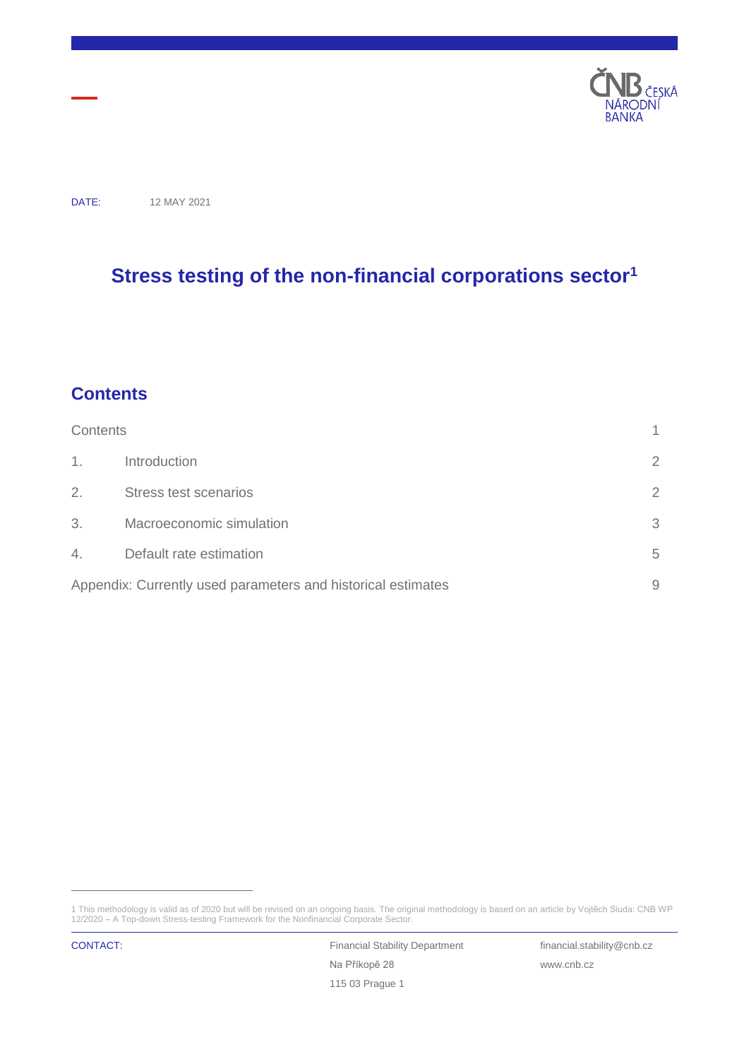

DATE: 12 MAY 2021

# **Stress testing of the non-financial corporations sector<sup>1</sup>**

### <span id="page-0-0"></span>**Contents**

| Contents |                                                              |                |
|----------|--------------------------------------------------------------|----------------|
| $1_{-}$  | Introduction                                                 | $\overline{2}$ |
| 2.       | Stress test scenarios                                        | $\overline{2}$ |
| 3.       | Macroeconomic simulation                                     | 3              |
| 4.       | Default rate estimation                                      | 5              |
|          | Appendix: Currently used parameters and historical estimates | 9              |

<sup>1</sup> This methodology is valid as of 2020 but will be revised on an ongoing basis. The original methodology is based on an article by Vojtěch Siuda: CNB WP 12/2020 – A Top-down Stress-testing Framework for the Nonfinancial Corporate Sector.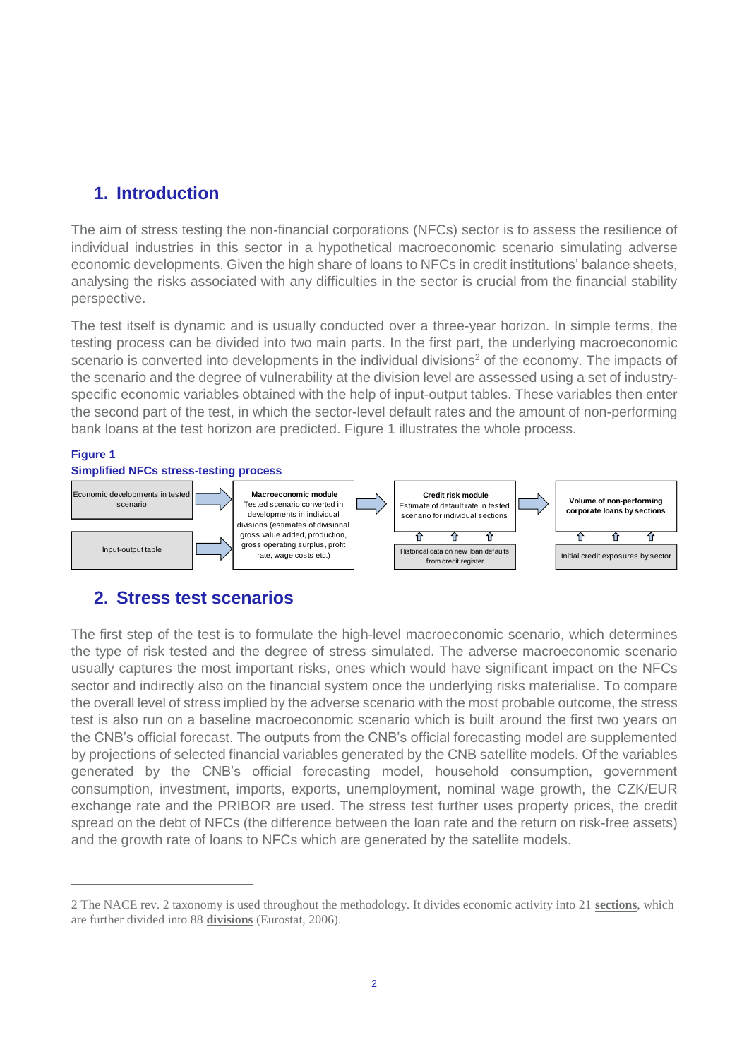## <span id="page-1-0"></span>**1. Introduction**

The aim of stress testing the non-financial corporations (NFCs) sector is to assess the resilience of individual industries in this sector in a hypothetical macroeconomic scenario simulating adverse economic developments. Given the high share of loans to NFCs in credit institutions' balance sheets, analysing the risks associated with any difficulties in the sector is crucial from the financial stability perspective.

The test itself is dynamic and is usually conducted over a three-year horizon. In simple terms, the testing process can be divided into two main parts. In the first part, the underlying macroeconomic scenario is converted into developments in the individual divisions<sup>2</sup> of the economy. The impacts of the scenario and the degree of vulnerability at the division level are assessed using a set of industryspecific economic variables obtained with the help of input-output tables. These variables then enter the second part of the test, in which the sector-level default rates and the amount of non-performing bank loans at the test horizon are predicted. Figure 1 illustrates the whole process.

### **Figure 1**

 $\overline{a}$ 



## <span id="page-1-1"></span>**2. Stress test scenarios**

The first step of the test is to formulate the high-level macroeconomic scenario, which determines the type of risk tested and the degree of stress simulated. The adverse macroeconomic scenario usually captures the most important risks, ones which would have significant impact on the NFCs sector and indirectly also on the financial system once the underlying risks materialise. To compare the overall level of stress implied by the adverse scenario with the most probable outcome, the stress test is also run on a baseline macroeconomic scenario which is built around the first two years on the CNB's official forecast. The outputs from the CNB's official forecasting model are supplemented by projections of selected financial variables generated by the CNB satellite models. Of the variables generated by the CNB's official forecasting model, household consumption, government consumption, investment, imports, exports, unemployment, nominal wage growth, the CZK/EUR exchange rate and the PRIBOR are used. The stress test further uses property prices, the credit spread on the debt of NFCs (the difference between the loan rate and the return on risk-free assets) and the growth rate of loans to NFCs which are generated by the satellite models.

<sup>2</sup> The NACE rev. 2 taxonomy is used throughout the methodology. It divides economic activity into 21 **sections**, which are further divided into 88 **divisions** (Eurostat, 2006).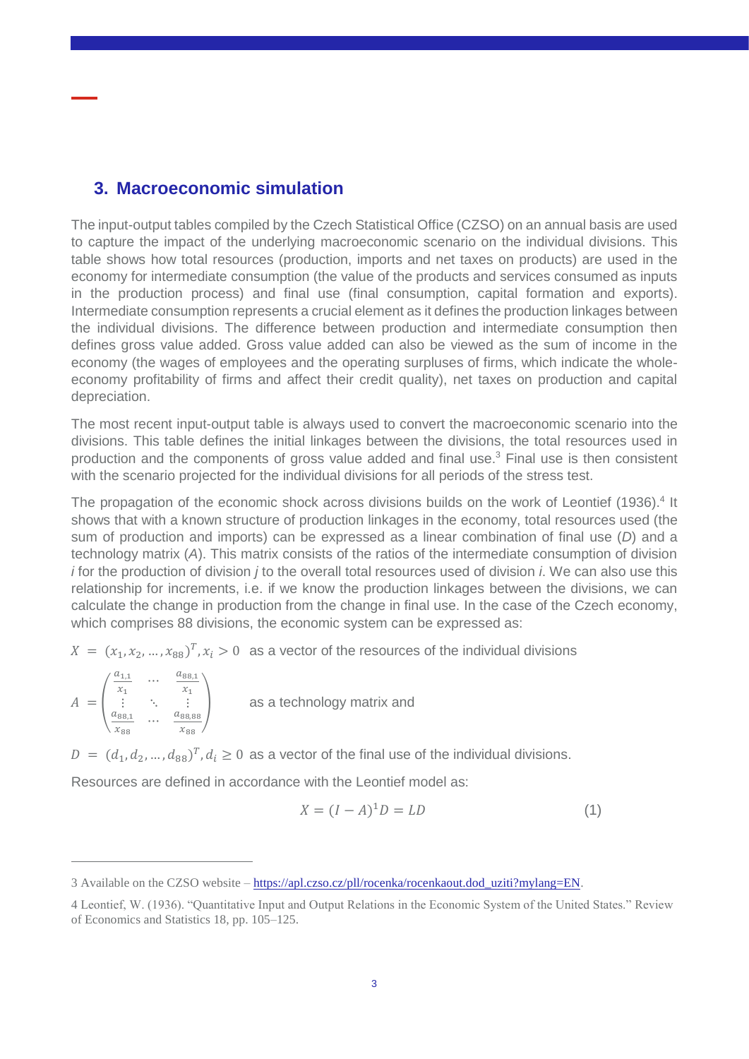### <span id="page-2-0"></span>**3. Macroeconomic simulation**

The input-output tables compiled by the Czech Statistical Office (CZSO) on an annual basis are used to capture the impact of the underlying macroeconomic scenario on the individual divisions. This table shows how total resources (production, imports and net taxes on products) are used in the economy for intermediate consumption (the value of the products and services consumed as inputs in the production process) and final use (final consumption, capital formation and exports). Intermediate consumption represents a crucial element as it defines the production linkages between the individual divisions. The difference between production and intermediate consumption then defines gross value added. Gross value added can also be viewed as the sum of income in the economy (the wages of employees and the operating surpluses of firms, which indicate the wholeeconomy profitability of firms and affect their credit quality), net taxes on production and capital depreciation.

The most recent input-output table is always used to convert the macroeconomic scenario into the divisions. This table defines the initial linkages between the divisions, the total resources used in production and the components of gross value added and final use.<sup>3</sup> Final use is then consistent with the scenario projected for the individual divisions for all periods of the stress test.

The propagation of the economic shock across divisions builds on the work of Leontief (1936).<sup>4</sup> It shows that with a known structure of production linkages in the economy, total resources used (the sum of production and imports) can be expressed as a linear combination of final use (*D*) and a technology matrix (*A*). This matrix consists of the ratios of the intermediate consumption of division *i* for the production of division *j* to the overall total resources used of division *i*. We can also use this relationship for increments, i.e. if we know the production linkages between the divisions, we can calculate the change in production from the change in final use. In the case of the Czech economy, which comprises 88 divisions, the economic system can be expressed as:

 $X = (x_1, x_2, ..., x_{88})^T, x_i > 0$  as a vector of the resources of the individual divisions

| $=$ | $u_1$<br>$x_{1}$<br>$\bullet$ | $\cdots$<br>$\cdots$ | $\mu_{BB}$<br>$a_{88,88}$ | as a technology matrix and |
|-----|-------------------------------|----------------------|---------------------------|----------------------------|
|     |                               |                      | $x_{88}$                  |                            |

 $\overline{a}$ 

 $D = (d_1, d_2, ..., d_{88})^T, d_i \ge 0$  as a vector of the final use of the individual divisions.

Resources are defined in accordance with the Leontief model as:

$$
X = (I - A)^{1}D = LD \tag{1}
$$

<sup>3</sup> Available on the CZSO website – [https://apl.czso.cz/pll/rocenka/rocenkaout.dod\\_uziti?mylang=EN.](https://apl.czso.cz/pll/rocenka/rocenkaout.dod_uziti?mylang=EN)

<sup>4</sup> Leontief, W. (1936). "Quantitative Input and Output Relations in the Economic System of the United States." Review of Economics and Statistics 18, pp. 105–125.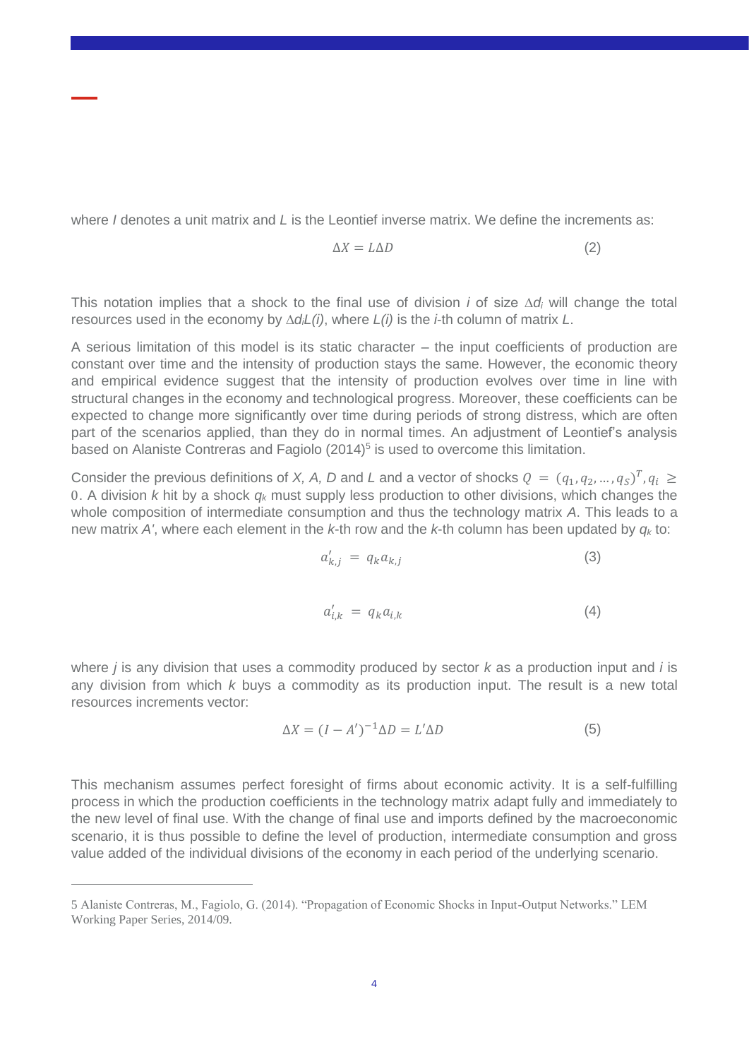where *I* denotes a unit matrix and *L* is the Leontief inverse matrix. We define the increments as:

$$
\Delta X = L \Delta D \tag{2}
$$

This notation implies that a shock to the final use of division *i* of size ∆*d<sup>i</sup>* will change the total resources used in the economy by *∆diL(i)*, where *L(i)* is the *i*-th column of matrix *L*.

A serious limitation of this model is its static character – the input coefficients of production are constant over time and the intensity of production stays the same. However, the economic theory and empirical evidence suggest that the intensity of production evolves over time in line with structural changes in the economy and technological progress. Moreover, these coefficients can be expected to change more significantly over time during periods of strong distress, which are often part of the scenarios applied, than they do in normal times. An adjustment of Leontief's analysis based on Alaniste Contreras and Fagiolo  $(2014)^5$  is used to overcome this limitation.

Consider the previous definitions of *X*, *A*, *D* and *L* and a vector of shocks  $Q = (q_1, q_2, ..., q_S)^T, q_i \geq$ 0. A division *k* hit by a shock *q<sup>k</sup>* must supply less production to other divisions, which changes the whole composition of intermediate consumption and thus the technology matrix *A*. This leads to a new matrix *A'*, where each element in the *k*-th row and the *k*-th column has been updated by *q<sup>k</sup>* to:

$$
a'_{k,j} = q_k a_{k,j} \tag{3}
$$

$$
a'_{i,k} = q_k a_{i,k} \tag{4}
$$

where *j* is any division that uses a commodity produced by sector *k* as a production input and *i* is any division from which *k* buys a commodity as its production input. The result is a new total resources increments vector:

$$
\Delta X = (I - A')^{-1} \Delta D = L' \Delta D \tag{5}
$$

This mechanism assumes perfect foresight of firms about economic activity. It is a self-fulfilling process in which the production coefficients in the technology matrix adapt fully and immediately to the new level of final use. With the change of final use and imports defined by the macroeconomic scenario, it is thus possible to define the level of production, intermediate consumption and gross value added of the individual divisions of the economy in each period of the underlying scenario.

<sup>5</sup> Alaniste Contreras, M., Fagiolo, G. (2014). "Propagation of Economic Shocks in Input-Output Networks." LEM Working Paper Series, 2014/09.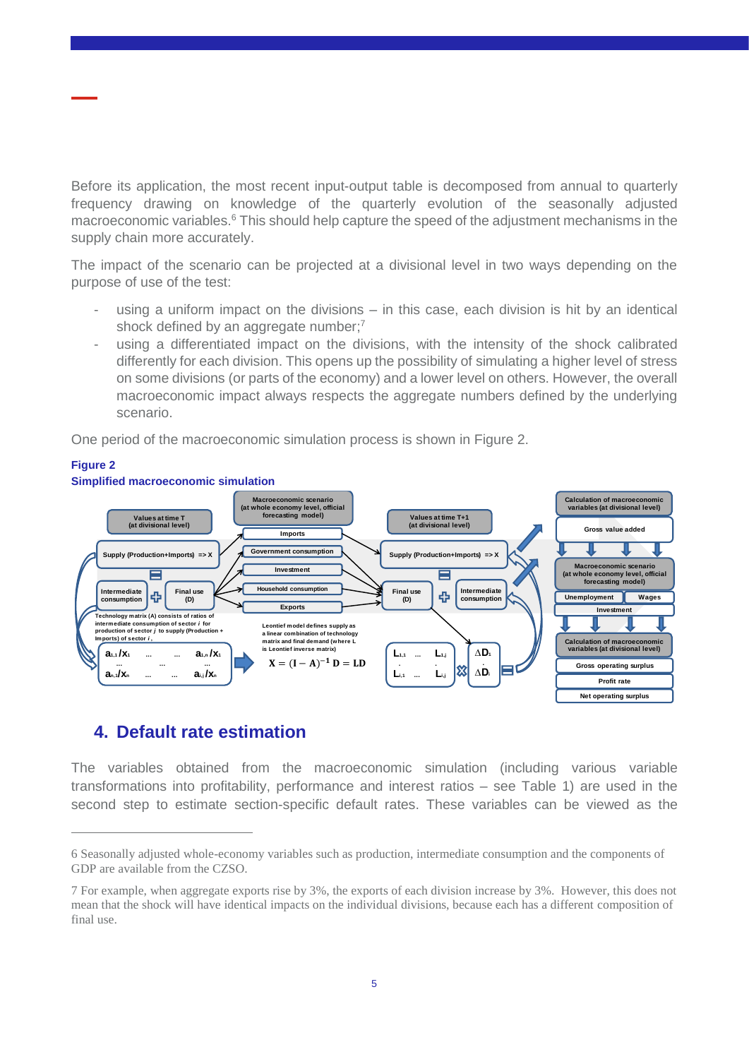Before its application, the most recent input-output table is decomposed from annual to quarterly frequency drawing on knowledge of the quarterly evolution of the seasonally adjusted macroeconomic variables.<sup>6</sup> This should help capture the speed of the adjustment mechanisms in the supply chain more accurately.

The impact of the scenario can be projected at a divisional level in two ways depending on the purpose of use of the test:

- using a uniform impact on the divisions  $-$  in this case, each division is hit by an identical shock defined by an aggregate number;7
- using a differentiated impact on the divisions, with the intensity of the shock calibrated differently for each division. This opens up the possibility of simulating a higher level of stress on some divisions (or parts of the economy) and a lower level on others. However, the overall macroeconomic impact always respects the aggregate numbers defined by the underlying scenario.

One period of the macroeconomic simulation process is shown in Figure 2.



## <span id="page-4-0"></span>**4. Default rate estimation**

 $\overline{a}$ 

The variables obtained from the macroeconomic simulation (including various variable transformations into profitability, performance and interest ratios – see Table 1) are used in the second step to estimate section-specific default rates. These variables can be viewed as the

<sup>6</sup> Seasonally adjusted whole-economy variables such as production, intermediate consumption and the components of GDP are available from the CZSO.

<sup>7</sup> For example, when aggregate exports rise by 3%, the exports of each division increase by 3%. However, this does not mean that the shock will have identical impacts on the individual divisions, because each has a different composition of final use.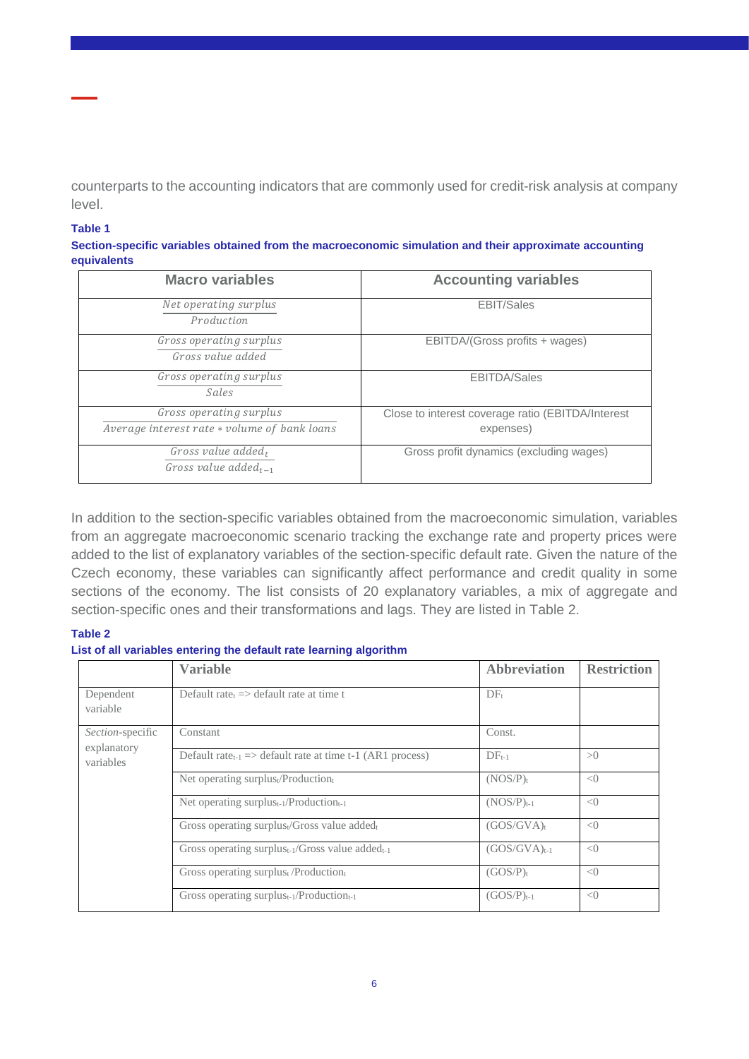counterparts to the accounting indicators that are commonly used for credit-risk analysis at company level.

#### **Table 1**

| Section-specific variables obtained from the macroeconomic simulation and their approximate accounting |  |
|--------------------------------------------------------------------------------------------------------|--|
| equivalents                                                                                            |  |

| <b>Macro variables</b>                                                  | <b>Accounting variables</b>                                    |  |  |  |  |
|-------------------------------------------------------------------------|----------------------------------------------------------------|--|--|--|--|
| Net operating surplus<br>Production                                     | <b>EBIT/Sales</b>                                              |  |  |  |  |
| Gross operating surplus<br>Gross value added                            | EBITDA/(Gross profits + wages)                                 |  |  |  |  |
| Gross operating surplus<br>Sales                                        | <b>EBITDA/Sales</b>                                            |  |  |  |  |
| Gross operating surplus<br>Average interest rate * volume of bank loans | Close to interest coverage ratio (EBITDA/Interest<br>expenses) |  |  |  |  |
| Gross value added,<br>Gross value added <sub>t-1</sub>                  | Gross profit dynamics (excluding wages)                        |  |  |  |  |

In addition to the section-specific variables obtained from the macroeconomic simulation, variables from an aggregate macroeconomic scenario tracking the exchange rate and property prices were added to the list of explanatory variables of the section-specific default rate. Given the nature of the Czech economy, these variables can significantly affect performance and credit quality in some sections of the economy. The list consists of 20 explanatory variables, a mix of aggregate and section-specific ones and their transformations and lags. They are listed in Table 2.

#### **Table 2**

#### **List of all variables entering the default rate learning algorithm**

|                                 | <b>Variable</b>                                                 | <b>Abbreviation</b> | <b>Restriction</b> |
|---------------------------------|-----------------------------------------------------------------|---------------------|--------------------|
| Dependent<br>variable           | Default rate $\Rightarrow$ default rate at time t               | $DF_t$              |                    |
| Section-specific<br>explanatory | Constant                                                        | Const.              |                    |
| variables                       | Default rate $t_{-1}$ => default rate at time t-1 (AR1 process) | $DF_{t-1}$          | >0                 |
|                                 | Net operating surplust/Productiont                              | $(NOS/P)_t$         | < 0                |
|                                 | Net operating surplus <sub>t-1</sub> /Production <sub>t-1</sub> | $(NOS/P)t-1$        | < 0                |
|                                 | Gross operating surplust/Gross value addedt                     | $(GOS/GVA)_t$       | < 0                |
|                                 | Gross operating surplus $_{t-1}$ /Gross value added $_{t-1}$    | $(GOS/GVA)_{t-1}$   | < 0                |
|                                 | Gross operating surplus $_{t}$ /Production $_{t}$               | $(GOS/P)_t$         | < 0                |
|                                 | Gross operating surplus $_{t-1}/$ Production $_{t-1}$           | $(GOS/P)_{t-1}$     | < 0                |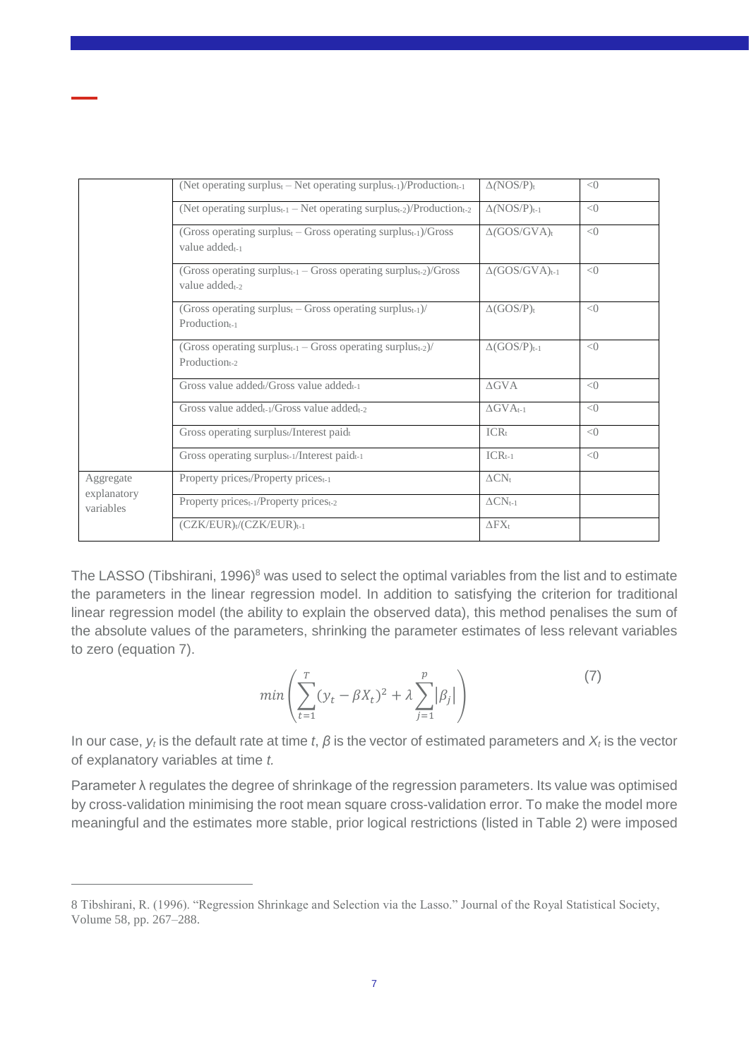|                          | (Net operating surplus $_{t}$ – Net operating surplus $_{t-1}$ )/Production $_{t-1}$                                   | $\Delta (NOS/P)_t$          | < 0 |
|--------------------------|------------------------------------------------------------------------------------------------------------------------|-----------------------------|-----|
|                          | (Net operating surplus <sub>t-1</sub> – Net operating surplus <sub>t-2</sub> )/Production <sub>t-2</sub>               | $\Delta (NOS/P)_{t-1}$      | < 0 |
|                          | (Gross operating surplus $_{t}$ – Gross operating surplus $_{t-1}$ )/Gross<br>value added <sub>t-1</sub>               | $\Delta(GOS/GVA)t$          | < 0 |
|                          | (Gross operating surplus <sub>t-1</sub> – Gross operating surplus <sub>t-2</sub> )/Gross<br>value added <sub>t-2</sub> | $\Delta(GOS/GVA)_{t-1}$     | < 0 |
|                          | (Gross operating surplus <sub>t</sub> – Gross operating surplus <sub>t-1</sub> )/<br>Production-1                      | $\Delta(GOS/P)_t$           | < 0 |
|                          | (Gross operating surplus $_{t-1}$ – Gross operating surplus $_{t-2}$ )/<br>Production-2                                | $\Delta(GOS/P)_{t-1}$       | < 0 |
|                          | Gross value added Gross value added -1                                                                                 | $\triangle$ GVA             | < 0 |
|                          | Gross value added $_{t-1}$ /Gross value added $_{t-2}$                                                                 | $\Delta$ GVA <sub>t-1</sub> | < 0 |
|                          | Gross operating surplus <sup>t</sup> /Interest paidt                                                                   | $ICR_t$                     | < 0 |
|                          | Gross operating surplus <sub>t-1</sub> /Interest paid <sub>t-1</sub>                                                   | $ICR_{t-1}$                 | < 0 |
| Aggregate                | Property prices <sub>t</sub> /Property prices <sub>t-1</sub>                                                           | $\Delta CN_t$               |     |
| explanatory<br>variables | Property prices <sub>t-1</sub> /Property prices <sub>t-2</sub>                                                         | $\Delta CN_{t\text{-}1}$    |     |
|                          | $(CZK/EUR)_t/(CZK/EUR)_{t-1}$                                                                                          | $\Delta$ F $X_t$            |     |

The LASSO (Tibshirani, 1996)<sup>8</sup> was used to select the optimal variables from the list and to estimate the parameters in the linear regression model. In addition to satisfying the criterion for traditional linear regression model (the ability to explain the observed data), this method penalises the sum of the absolute values of the parameters, shrinking the parameter estimates of less relevant variables to zero (equation 7).

$$
min\left(\sum_{t=1}^{T} (y_t - \beta X_t)^2 + \lambda \sum_{j=1}^{p} |\beta_j|\right)
$$
 (7)

In our case, *y<sup>t</sup>* is the default rate at time *t*, *β* is the vector of estimated parameters and *X<sup>t</sup>* is the vector of explanatory variables at time *t.*

Parameter λ regulates the degree of shrinkage of the regression parameters. Its value was optimised by cross-validation minimising the root mean square cross-validation error. To make the model more meaningful and the estimates more stable, prior logical restrictions (listed in Table 2) were imposed

<sup>8</sup> Tibshirani, R. (1996). "Regression Shrinkage and Selection via the Lasso." Journal of the Royal Statistical Society, Volume 58, pp. 267–288.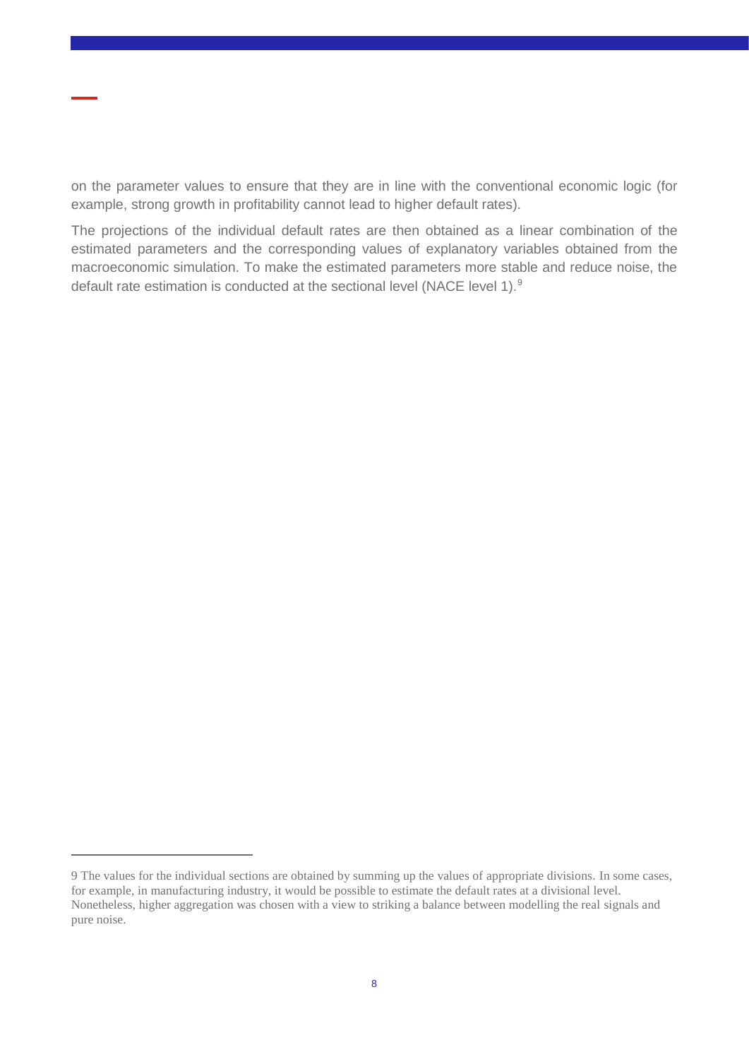on the parameter values to ensure that they are in line with the conventional economic logic (for example, strong growth in profitability cannot lead to higher default rates).

The projections of the individual default rates are then obtained as a linear combination of the estimated parameters and the corresponding values of explanatory variables obtained from the macroeconomic simulation. To make the estimated parameters more stable and reduce noise, the default rate estimation is conducted at the sectional level (NACE level 1).<sup>9</sup>

<sup>9</sup> The values for the individual sections are obtained by summing up the values of appropriate divisions. In some cases, for example, in manufacturing industry, it would be possible to estimate the default rates at a divisional level. Nonetheless, higher aggregation was chosen with a view to striking a balance between modelling the real signals and pure noise.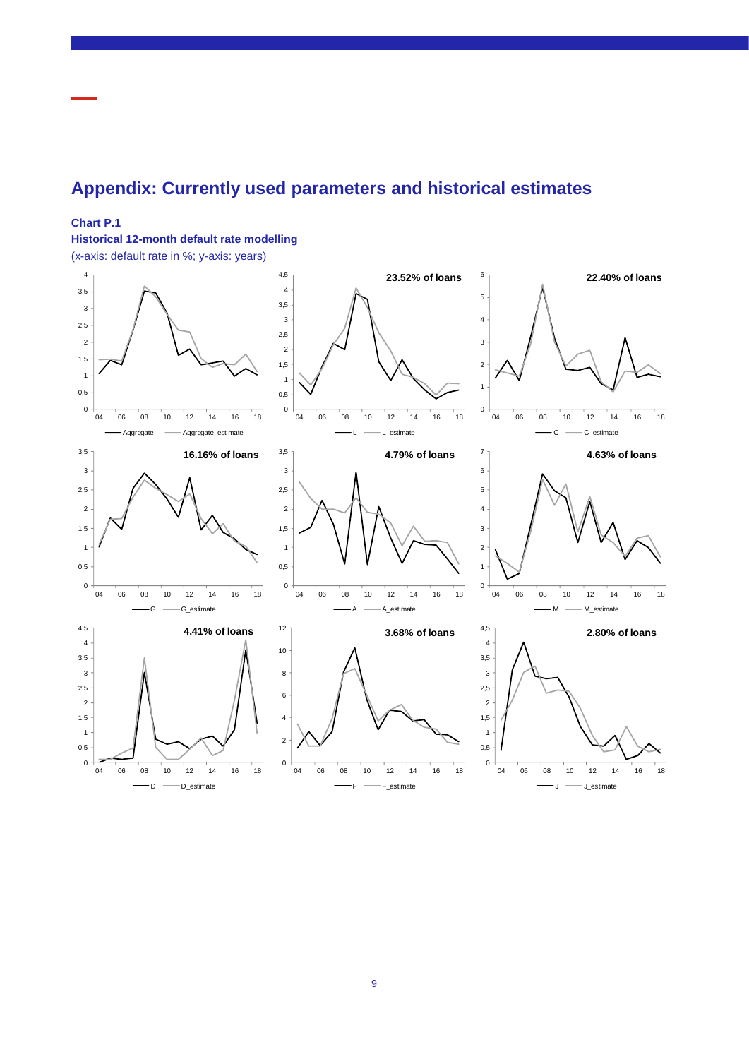## <span id="page-8-0"></span>**Appendix: Currently used parameters and historical estimates**

#### **Chart P.1**

**Historical 12-month default rate modelling**

(x-axis: default rate in %; y-axis: years)

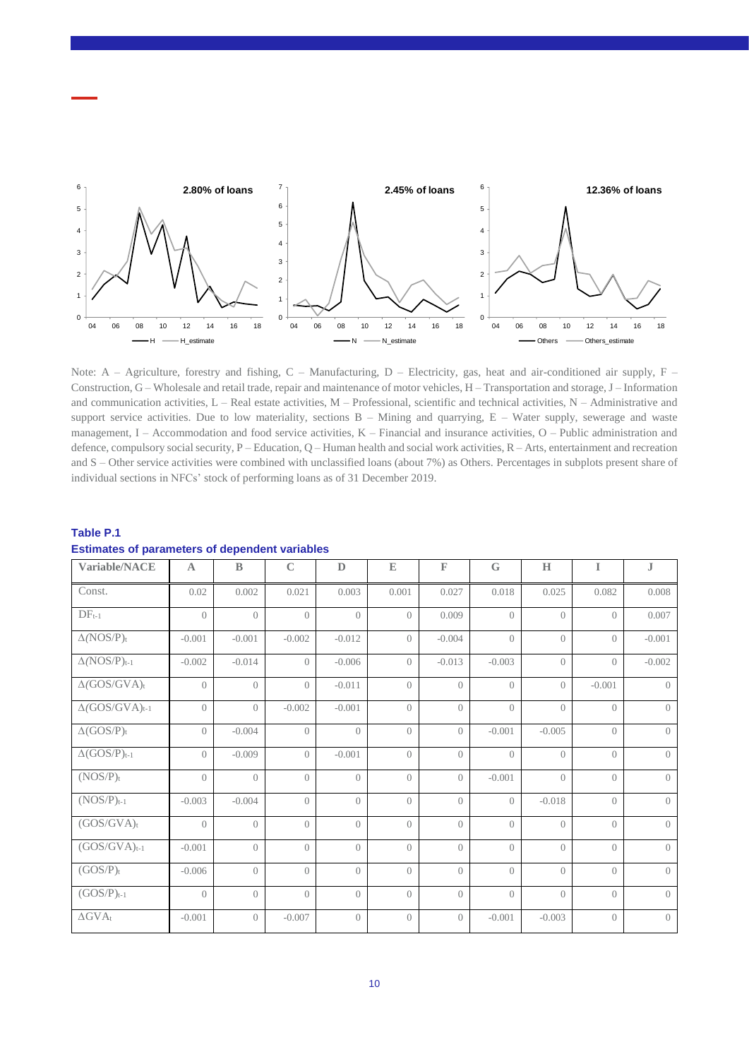

Note:  $A - Agriculture$ , forestry and fishing,  $C - Manufacturing$ ,  $D - Electricity$ , gas, heat and air-conditioned air supply,  $F -$ Construction, G – Wholesale and retail trade, repair and maintenance of motor vehicles, H – Transportation and storage, J – Information and communication activities, L – Real estate activities, M – Professional, scientific and technical activities, N – Administrative and support service activities. Due to low materiality, sections  $B -$  Mining and quarrying,  $E -$  Water supply, sewerage and waste management, I – Accommodation and food service activities, K – Financial and insurance activities, O – Public administration and defence, compulsory social security, P – Education, Q – Human health and social work activities, R – Arts, entertainment and recreation and S – Other service activities were combined with unclassified loans (about 7%) as Others. Percentages in subplots present share of individual sections in NFCs' stock of performing loans as of 31 December 2019.

| <b>Estimates of parameters of dependent variables</b><br>Variable/NACE | $\mathbf{A}$     | $\mathbf{B}$     | $\mathbb C$      | $\mathbb D$      | ${\mathbb E}$    | $\mathbb F$    | G                | H                | $\mathbf I$      | ${\bf J}$        |
|------------------------------------------------------------------------|------------------|------------------|------------------|------------------|------------------|----------------|------------------|------------------|------------------|------------------|
| Const.                                                                 | 0.02             | 0.002            | 0.021            | 0.003            | 0.001            | 0.027          | 0.018            | 0.025            | 0.082            | 0.008            |
| $DF_{t-1}$                                                             | $\left( \right)$ | $\bigcirc$       | $\bigcirc$       | $\bigcirc$       | $\left( \right)$ | 0.009          | $\bigcirc$       | $\left( \right)$ | $\bigcap$        | 0.007            |
| $\Delta (NOS/P)_t$                                                     | $-0.001$         | $-0.001$         | $-0.002$         | $-0.012$         | $\left( \right)$ | $-0.004$       | $\left( \right)$ | $\left( \right)$ | $\left( \right)$ | $-0.001$         |
| $\Delta (NOS/P)_{t-1}$                                                 | $-0.002$         | $-0.014$         | $\left( \right)$ | $-0.006$         | $\left( \right)$ | $-0.013$       | $-0.003$         | $\left( \right)$ | $\left( \right)$ | $-0.002$         |
| $\Delta(GOS/GVA)_t$                                                    | $\bigcirc$       | $\left( \right)$ | $\bigcirc$       | $-0.011$         | $\bigcap$        | $\bigcirc$     | $\bigcirc$       | $\bigcirc$       | $-0.001$         | $\bigcap$        |
| $\Delta(GOS/GVA)_{t-1}$                                                | $\left( \right)$ | $\left( \right)$ | $-0.002$         | $-0.001$         | $\left( \right)$ | $\bigcirc$     | $\bigcirc$       | $\bigcirc$       | $\left( \right)$ | $\left( \right)$ |
| $\Delta(GOS/P)_t$                                                      | $\overline{0}$   | $-0.004$         | $\overline{0}$   | $\overline{0}$   | $\overline{0}$   | $\overline{0}$ | $-0.001$         | $-0.005$         | $\left( \right)$ | $\left( \right)$ |
| $\Delta(GOS/P)_{t-1}$                                                  | $\overline{0}$   | $-0.009$         | $\overline{0}$   | $-0.001$         | $\overline{0}$   | $\bigcirc$     | $\overline{0}$   | $\left( \right)$ | $\left( \right)$ | $\left( \right)$ |
| $(NOS/P)_t$                                                            | $\bigcap$        | $\bigcirc$       | $\bigcirc$       | $\bigcirc$       | $\bigcap$        | $\overline{O}$ | $-0.001$         | $\bigcap$        | $\bigcap$        | $\bigcap$        |
| $(NOS/P)t-1$                                                           | $-0.003$         | $-0.004$         | $\bigcirc$       | $\left( \right)$ | $\bigcirc$       | $\overline{O}$ | $\bigcirc$       | $-0.018$         | $\bigcap$        | $\left( \right)$ |
| $(GOS/GVA)_t$                                                          | $\left( \right)$ | $\left( \right)$ | $\bigcirc$       | $\left( \right)$ | $\left( \right)$ | $\bigcirc$     | $\bigcirc$       | $\left( \right)$ | $\bigcirc$       | $\left( \right)$ |
| $(GOS/GVA)_{t-1}$                                                      | $-0.001$         | $\overline{0}$   | $\overline{0}$   | $\left( \right)$ | $\left( \right)$ | $\overline{0}$ | $\overline{0}$   | $\left( \right)$ | $\left( \right)$ | $\left( \right)$ |
| $(GOS/P)_t$                                                            | $-0.006$         | $\bigcirc$       | $\left( \right)$ | $\left( \right)$ | $\bigcirc$       | $\Omega$       | $\bigcirc$       | $\left( \right)$ | $\left( \right)$ | $\left( \right)$ |
| $(GOS/P)_{t-1}$                                                        | $\left( \right)$ | $\left( \right)$ | $\bigcirc$       | $\left( \right)$ | $\bigcirc$       | $\Omega$       | $\bigcirc$       | $\bigcirc$       | $\bigcirc$       | $\overline{O}$   |
| $\Delta$ GVAt                                                          | $-0.001$         | $\overline{0}$   | $-0.007$         | $\overline{0}$   | $\overline{0}$   | $\overline{0}$ | $-0.001$         | $-0.003$         | $\overline{0}$   | $\overline{0}$   |

# **Table P.1**